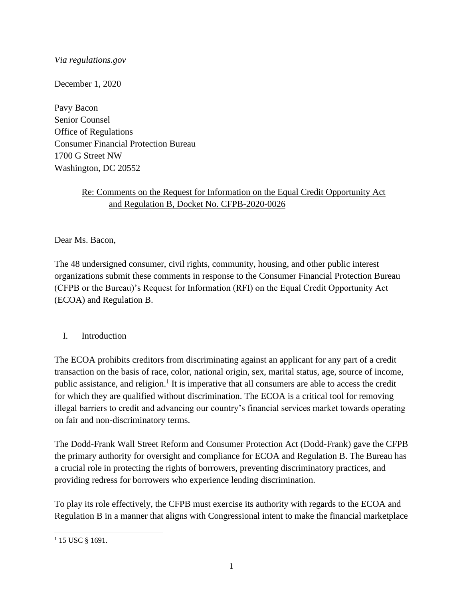# *Via regulations.gov*

December 1, 2020

Pavy Bacon Senior Counsel Office of Regulations Consumer Financial Protection Bureau 1700 G Street NW Washington, DC 20552

# Re: Comments on the Request for Information on the Equal Credit Opportunity Act and Regulation B, Docket No. CFPB-2020-0026

Dear Ms. Bacon,

The 48 undersigned consumer, civil rights, community, housing, and other public interest organizations submit these comments in response to the Consumer Financial Protection Bureau (CFPB or the Bureau)'s Request for Information (RFI) on the Equal Credit Opportunity Act (ECOA) and Regulation B.

# I. Introduction

The ECOA prohibits creditors from discriminating against an applicant for any part of a credit transaction on the basis of race, color, national origin, sex, marital status, age, source of income, public assistance, and religion.<sup>1</sup> It is imperative that all consumers are able to access the credit for which they are qualified without discrimination. The ECOA is a critical tool for removing illegal barriers to credit and advancing our country's financial services market towards operating on fair and non-discriminatory terms.

The Dodd-Frank Wall Street Reform and Consumer Protection Act (Dodd-Frank) gave the CFPB the primary authority for oversight and compliance for ECOA and Regulation B. The Bureau has a crucial role in protecting the rights of borrowers, preventing discriminatory practices, and providing redress for borrowers who experience lending discrimination.

To play its role effectively, the CFPB must exercise its authority with regards to the ECOA and Regulation B in a manner that aligns with Congressional intent to make the financial marketplace

<sup>&</sup>lt;sup>1</sup> 15 USC § 1691.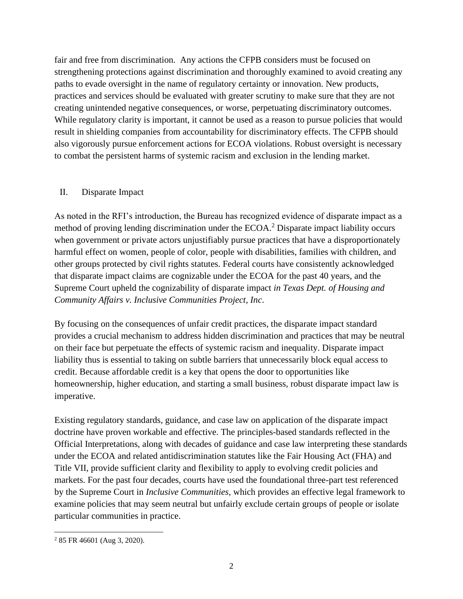fair and free from discrimination. Any actions the CFPB considers must be focused on strengthening protections against discrimination and thoroughly examined to avoid creating any paths to evade oversight in the name of regulatory certainty or innovation. New products, practices and services should be evaluated with greater scrutiny to make sure that they are not creating unintended negative consequences, or worse, perpetuating discriminatory outcomes. While regulatory clarity is important, it cannot be used as a reason to pursue policies that would result in shielding companies from accountability for discriminatory effects. The CFPB should also vigorously pursue enforcement actions for ECOA violations. Robust oversight is necessary to combat the persistent harms of systemic racism and exclusion in the lending market.

#### II. Disparate Impact

As noted in the RFI's introduction, the Bureau has recognized evidence of disparate impact as a method of proving lending discrimination under the ECOA.<sup>2</sup> Disparate impact liability occurs when government or private actors unjustifiably pursue practices that have a disproportionately harmful effect on women, people of color, people with disabilities, families with children, and other groups protected by civil rights statutes. Federal courts have consistently acknowledged that disparate impact claims are cognizable under the ECOA for the past 40 years, and the Supreme Court upheld the cognizability of disparate impact *in Texas Dept. of Housing and Community Affairs v. Inclusive Communities Project, Inc*.

By focusing on the consequences of unfair credit practices, the disparate impact standard provides a crucial mechanism to address hidden discrimination and practices that may be neutral on their face but perpetuate the effects of systemic racism and inequality. Disparate impact liability thus is essential to taking on subtle barriers that unnecessarily block equal access to credit. Because affordable credit is a key that opens the door to opportunities like homeownership, higher education, and starting a small business, robust disparate impact law is imperative.

Existing regulatory standards, guidance, and case law on application of the disparate impact doctrine have proven workable and effective. The principles-based standards reflected in the Official Interpretations, along with decades of guidance and case law interpreting these standards under the ECOA and related antidiscrimination statutes like the Fair Housing Act (FHA) and Title VII, provide sufficient clarity and flexibility to apply to evolving credit policies and markets. For the past four decades, courts have used the foundational three-part test referenced by the Supreme Court in *Inclusive Communities*, which provides an effective legal framework to examine policies that may seem neutral but unfairly exclude certain groups of people or isolate particular communities in practice.

<sup>2</sup> 85 FR 46601 (Aug 3, 2020).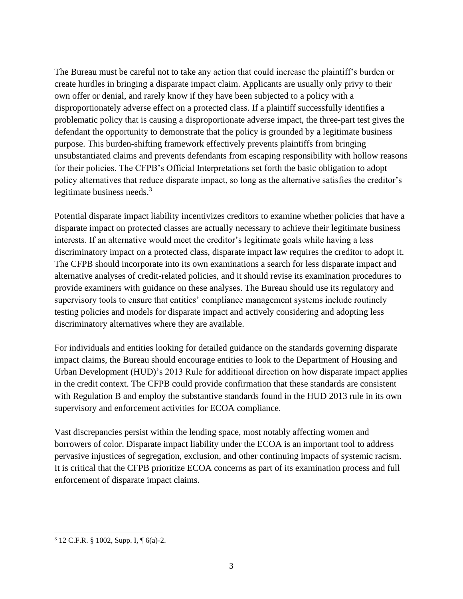The Bureau must be careful not to take any action that could increase the plaintiff's burden or create hurdles in bringing a disparate impact claim. Applicants are usually only privy to their own offer or denial, and rarely know if they have been subjected to a policy with a disproportionately adverse effect on a protected class. If a plaintiff successfully identifies a problematic policy that is causing a disproportionate adverse impact, the three-part test gives the defendant the opportunity to demonstrate that the policy is grounded by a legitimate business purpose. This burden-shifting framework effectively prevents plaintiffs from bringing unsubstantiated claims and prevents defendants from escaping responsibility with hollow reasons for their policies. The CFPB's Official Interpretations set forth the basic obligation to adopt policy alternatives that reduce disparate impact, so long as the alternative satisfies the creditor's legitimate business needs.<sup>3</sup>

Potential disparate impact liability incentivizes creditors to examine whether policies that have a disparate impact on protected classes are actually necessary to achieve their legitimate business interests. If an alternative would meet the creditor's legitimate goals while having a less discriminatory impact on a protected class, disparate impact law requires the creditor to adopt it. The CFPB should incorporate into its own examinations a search for less disparate impact and alternative analyses of credit-related policies, and it should revise its examination procedures to provide examiners with guidance on these analyses. The Bureau should use its regulatory and supervisory tools to ensure that entities' compliance management systems include routinely testing policies and models for disparate impact and actively considering and adopting less discriminatory alternatives where they are available.

For individuals and entities looking for detailed guidance on the standards governing disparate impact claims, the Bureau should encourage entities to look to the Department of Housing and Urban Development (HUD)'s 2013 Rule for additional direction on how disparate impact applies in the credit context. The CFPB could provide confirmation that these standards are consistent with Regulation B and employ the substantive standards found in the HUD 2013 rule in its own supervisory and enforcement activities for ECOA compliance.

Vast discrepancies persist within the lending space, most notably affecting women and borrowers of color. Disparate impact liability under the ECOA is an important tool to address pervasive injustices of segregation, exclusion, and other continuing impacts of systemic racism. It is critical that the CFPB prioritize ECOA concerns as part of its examination process and full enforcement of disparate impact claims.

 $3$  12 C.F.R. § 1002, Supp. I, ¶ 6(a)-2.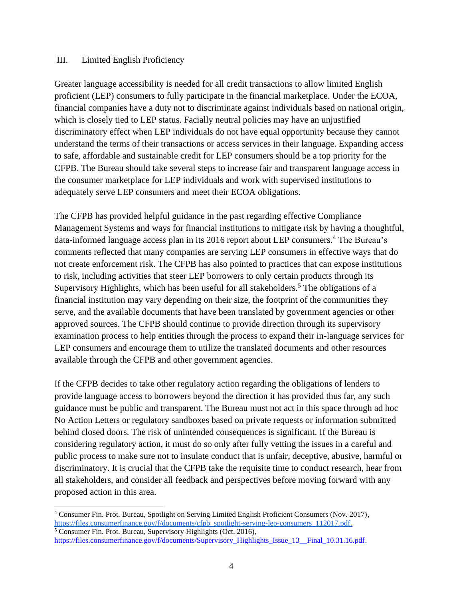#### III. Limited English Proficiency

Greater language accessibility is needed for all credit transactions to allow limited English proficient (LEP) consumers to fully participate in the financial marketplace. Under the ECOA, financial companies have a duty not to discriminate against individuals based on national origin, which is closely tied to LEP status. Facially neutral policies may have an unjustified discriminatory effect when LEP individuals do not have equal opportunity because they cannot understand the terms of their transactions or access services in their language. Expanding access to safe, affordable and sustainable credit for LEP consumers should be a top priority for the CFPB. The Bureau should take several steps to increase fair and transparent language access in the consumer marketplace for LEP individuals and work with supervised institutions to adequately serve LEP consumers and meet their ECOA obligations.

The CFPB has provided helpful guidance in the past regarding effective Compliance Management Systems and ways for financial institutions to mitigate risk by having a thoughtful, data-informed language access plan in its 2016 report about LEP consumers.<sup>4</sup> The Bureau's comments reflected that many companies are serving LEP consumers in effective ways that do not create enforcement risk. The CFPB has also pointed to practices that can expose institutions to risk, including activities that steer LEP borrowers to only certain products through its Supervisory Highlights, which has been useful for all stakeholders.<sup>5</sup> The obligations of a financial institution may vary depending on their size, the footprint of the communities they serve, and the available documents that have been translated by government agencies or other approved sources. The CFPB should continue to provide direction through its supervisory examination process to help entities through the process to expand their in-language services for LEP consumers and encourage them to utilize the translated documents and other resources available through the CFPB and other government agencies.

If the CFPB decides to take other regulatory action regarding the obligations of lenders to provide language access to borrowers beyond the direction it has provided thus far, any such guidance must be public and transparent. The Bureau must not act in this space through ad hoc No Action Letters or regulatory sandboxes based on private requests or information submitted behind closed doors. The risk of unintended consequences is significant. If the Bureau is considering regulatory action, it must do so only after fully vetting the issues in a careful and public process to make sure not to insulate conduct that is unfair, deceptive, abusive, harmful or discriminatory. It is crucial that the CFPB take the requisite time to conduct research, hear from all stakeholders, and consider all feedback and perspectives before moving forward with any proposed action in this area.

[https://files.consumerfinance.gov/f/documents/Supervisory\\_Highlights\\_Issue\\_13\\_\\_Final\\_10.31.16.pdf.](https://files.consumerfinance.gov/f/documents/Supervisory_Highlights_Issue_13__Final_10.31.16.pdf)

<sup>4</sup> Consumer Fin. Prot. Bureau, Spotlight on Serving Limited English Proficient Consumers (Nov. 2017), [https://files.consumerfinance.gov/f/documents/cfpb\\_spotlight-serving-lep-consumers\\_112017.pdf.](https://files.consumerfinance.gov/f/documents/cfpb_spotlight-serving-lep-consumers_112017.pdf) <sup>5</sup> Consumer Fin. Prot. Bureau, Supervisory Highlights (Oct. 2016),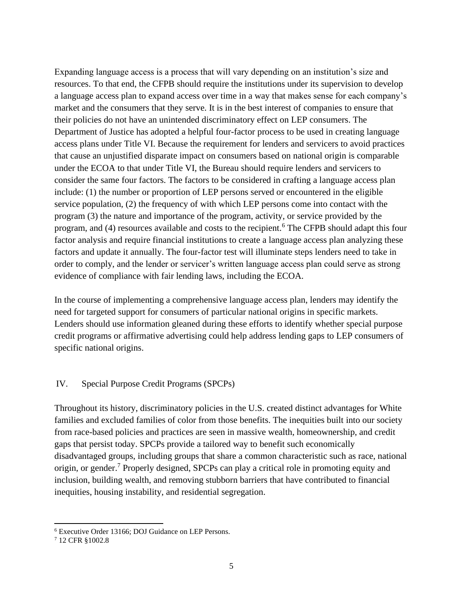Expanding language access is a process that will vary depending on an institution's size and resources. To that end, the CFPB should require the institutions under its supervision to develop a language access plan to expand access over time in a way that makes sense for each company's market and the consumers that they serve. It is in the best interest of companies to ensure that their policies do not have an unintended discriminatory effect on LEP consumers. The Department of Justice has adopted a helpful four-factor process to be used in creating language access plans under Title VI. Because the requirement for lenders and servicers to avoid practices that cause an unjustified disparate impact on consumers based on national origin is comparable under the ECOA to that under Title VI, the Bureau should require lenders and servicers to consider the same four factors. The factors to be considered in crafting a language access plan include: (1) the number or proportion of LEP persons served or encountered in the eligible service population, (2) the frequency of with which LEP persons come into contact with the program (3) the nature and importance of the program, activity, or service provided by the program, and (4) resources available and costs to the recipient.<sup>6</sup> The CFPB should adapt this four factor analysis and require financial institutions to create a language access plan analyzing these factors and update it annually. The four-factor test will illuminate steps lenders need to take in order to comply, and the lender or servicer's written language access plan could serve as strong evidence of compliance with fair lending laws, including the ECOA.

In the course of implementing a comprehensive language access plan, lenders may identify the need for targeted support for consumers of particular national origins in specific markets. Lenders should use information gleaned during these efforts to identify whether special purpose credit programs or affirmative advertising could help address lending gaps to LEP consumers of specific national origins.

#### IV. Special Purpose Credit Programs (SPCPs)

Throughout its history, discriminatory policies in the U.S. created distinct advantages for White families and excluded families of color from those benefits. The inequities built into our society from race-based policies and practices are seen in massive wealth, homeownership, and credit gaps that persist today. SPCPs provide a tailored way to benefit such economically disadvantaged groups, including groups that share a common characteristic such as race, national origin, or gender.<sup>7</sup> Properly designed, SPCPs can play a critical role in promoting equity and inclusion, building wealth, and removing stubborn barriers that have contributed to financial inequities, housing instability, and residential segregation.

<sup>6</sup> Executive Order 13166; DOJ Guidance on LEP Persons.

<sup>7</sup> 12 CFR §1002.8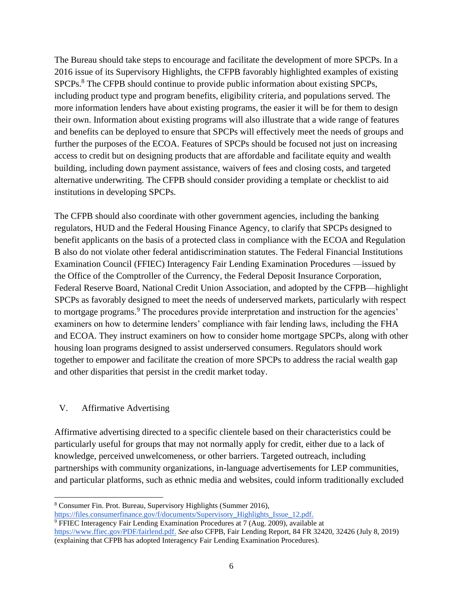The Bureau should take steps to encourage and facilitate the development of more SPCPs. In a 2016 issue of its Supervisory Highlights, the CFPB favorably highlighted examples of existing SPCPs.<sup>8</sup> The CFPB should continue to provide public information about existing SPCPs, including product type and program benefits, eligibility criteria, and populations served. The more information lenders have about existing programs, the easier it will be for them to design their own. Information about existing programs will also illustrate that a wide range of features and benefits can be deployed to ensure that SPCPs will effectively meet the needs of groups and further the purposes of the ECOA. Features of SPCPs should be focused not just on increasing access to credit but on designing products that are affordable and facilitate equity and wealth building, including down payment assistance, waivers of fees and closing costs, and targeted alternative underwriting. The CFPB should consider providing a template or checklist to aid institutions in developing SPCPs.

The CFPB should also coordinate with other government agencies, including the banking regulators, HUD and the Federal Housing Finance Agency, to clarify that SPCPs designed to benefit applicants on the basis of a protected class in compliance with the ECOA and Regulation B also do not violate other federal antidiscrimination statutes. The Federal Financial Institutions Examination Council (FFIEC) Interagency Fair Lending Examination Procedures —issued by the Office of the Comptroller of the Currency, the Federal Deposit Insurance Corporation, Federal Reserve Board, National Credit Union Association, and adopted by the CFPB—highlight SPCPs as favorably designed to meet the needs of underserved markets, particularly with respect to mortgage programs.<sup>9</sup> The procedures provide interpretation and instruction for the agencies' examiners on how to determine lenders' compliance with fair lending laws, including the FHA and ECOA. They instruct examiners on how to consider home mortgage SPCPs, along with other housing loan programs designed to assist underserved consumers. Regulators should work together to empower and facilitate the creation of more SPCPs to address the racial wealth gap and other disparities that persist in the credit market today.

# V. Affirmative Advertising

Affirmative advertising directed to a specific clientele based on their characteristics could be particularly useful for groups that may not normally apply for credit, either due to a lack of knowledge, perceived unwelcomeness, or other barriers. Targeted outreach, including partnerships with community organizations, in-language advertisements for LEP communities, and particular platforms, such as ethnic media and websites, could inform traditionally excluded

[https://files.consumerfinance.gov/f/documents/Supervisory\\_Highlights\\_Issue\\_12.pdf.](https://files.consumerfinance.gov/f/documents/Supervisory_Highlights_Issue_12.pdf)

<sup>8</sup> Consumer Fin. Prot. Bureau, Supervisory Highlights (Summer 2016),

<sup>&</sup>lt;sup>9</sup> FFIEC In[t](https://www.ffiec.gov/PDF/fairlend.pdf)eragency Fair Lending Examination Procedures at 7 (Aug. 2009), available at [https://www.ffiec.gov/PDF/fairlend.pdf.](https://www.ffiec.gov/PDF/fairlend.pdf) *See also* CFPB, Fair Lending Report, 84 FR 32420, 32426 (July 8, 2019) (explaining that CFPB has adopted Interagency Fair Lending Examination Procedures).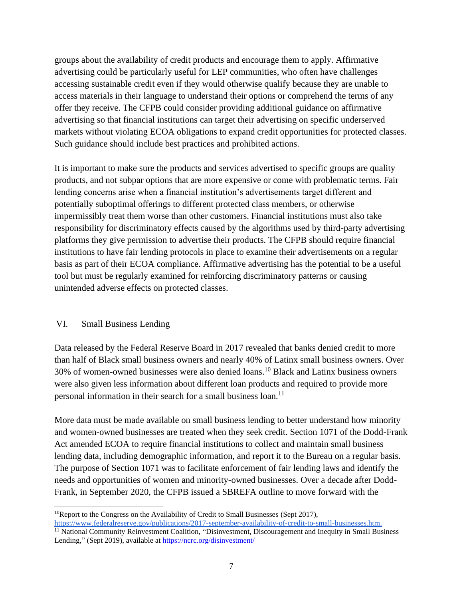groups about the availability of credit products and encourage them to apply. Affirmative advertising could be particularly useful for LEP communities, who often have challenges accessing sustainable credit even if they would otherwise qualify because they are unable to access materials in their language to understand their options or comprehend the terms of any offer they receive. The CFPB could consider providing additional guidance on affirmative advertising so that financial institutions can target their advertising on specific underserved markets without violating ECOA obligations to expand credit opportunities for protected classes. Such guidance should include best practices and prohibited actions.

It is important to make sure the products and services advertised to specific groups are quality products, and not subpar options that are more expensive or come with problematic terms. Fair lending concerns arise when a financial institution's advertisements target different and potentially suboptimal offerings to different protected class members, or otherwise impermissibly treat them worse than other customers. Financial institutions must also take responsibility for discriminatory effects caused by the algorithms used by third-party advertising platforms they give permission to advertise their products. The CFPB should require financial institutions to have fair lending protocols in place to examine their advertisements on a regular basis as part of their ECOA compliance. Affirmative advertising has the potential to be a useful tool but must be regularly examined for reinforcing discriminatory patterns or causing unintended adverse effects on protected classes.

# VI. Small Business Lending

Data released by the Federal Reserve Board in 2017 revealed that banks denied credit to more than half of Black small business owners and nearly 40% of Latinx small business owners. Over 30% of women-owned businesses were also denied loans.<sup>10</sup> Black and Latinx business owners were also given less information about different loan products and required to provide more personal information in their search for a small business loan.<sup>11</sup>

More data must be made available on small business lending to better understand how minority and women-owned businesses are treated when they seek credit. Section 1071 of the Dodd-Frank Act amended ECOA to require financial institutions to collect and maintain small business lending data, including demographic information, and report it to the Bureau on a regular basis. The purpose of Section 1071 was to facilitate enforcement of fair lending laws and identify the needs and opportunities of women and minority-owned businesses. Over a decade after Dodd-Frank, in September 2020, the CFPB issued a SBREFA outline to move forward with the

<sup>&</sup>lt;sup>10</sup>Report to the Congress on the Availability of Credit to Small Businesses (Sept 2017),

[https://www.federalreserve.gov/publications/2017-september-availability-of-credit-to-small-businesses.htm.](https://www.federalreserve.gov/publications/2017-september-availability-of-credit-to-small-businesses.htm) <sup>11</sup> National Community Reinvestment Coalition, "Disinvestment, Discouragement and Inequity in Small Business Lending," (Sept 2019), available at <https://ncrc.org/disinvestment/>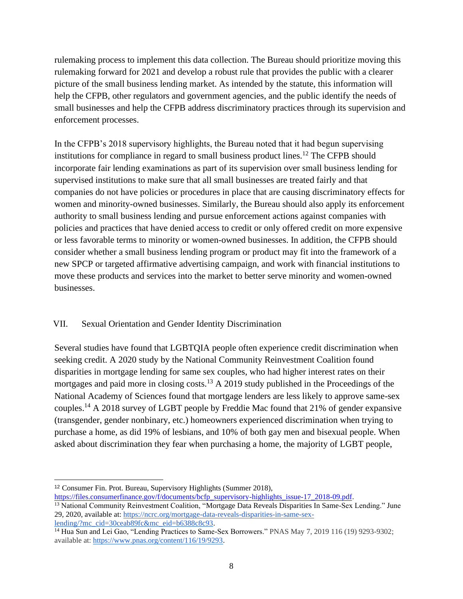rulemaking process to implement this data collection. The Bureau should prioritize moving this rulemaking forward for 2021 and develop a robust rule that provides the public with a clearer picture of the small business lending market. As intended by the statute, this information will help the CFPB, other regulators and government agencies, and the public identify the needs of small businesses and help the CFPB address discriminatory practices through its supervision and enforcement processes.

In the CFPB's 2018 supervisory highlights, the Bureau noted that it had begun supervising institutions for compliance in regard to small business product lines.<sup>12</sup> The CFPB should incorporate fair lending examinations as part of its supervision over small business lending for supervised institutions to make sure that all small businesses are treated fairly and that companies do not have policies or procedures in place that are causing discriminatory effects for women and minority-owned businesses. Similarly, the Bureau should also apply its enforcement authority to small business lending and pursue enforcement actions against companies with policies and practices that have denied access to credit or only offered credit on more expensive or less favorable terms to minority or women-owned businesses. In addition, the CFPB should consider whether a small business lending program or product may fit into the framework of a new SPCP or targeted affirmative advertising campaign, and work with financial institutions to move these products and services into the market to better serve minority and women-owned businesses.

# VII. Sexual Orientation and Gender Identity Discrimination

Several studies have found that LGBTQIA people often experience credit discrimination when seeking credit. A 2020 study by the National Community Reinvestment Coalition found disparities in mortgage lending for same sex couples, who had higher interest rates on their mortgages and paid more in closing costs.<sup>13</sup> A 2019 study published in the Proceedings of the National Academy of Sciences found that mortgage lenders are less likely to approve same-sex couples.<sup>14</sup> A 2018 survey of LGBT people by Freddie Mac found that 21% of gender expansive (transgender, gender nonbinary, etc.) homeowners experienced discrimination when trying to purchase a home, as did 19% of lesbians, and 10% of both gay men and bisexual people. When asked about discrimination they fear when purchasing a home, the majority of LGBT people,

<sup>12</sup> Consumer Fin. Prot. Bureau, Supervisory Highlights (Summer 2018),

[https://files.consumerfinance.gov/f/documents/bcfp\\_supervisory-highlights\\_issue-17\\_2018-09.pdf](https://files.consumerfinance.gov/f/documents/bcfp_supervisory-highlights_issue-17_2018-09.pdf).

<sup>&</sup>lt;sup>13</sup> National Community Reinvestment Coalition, "Mortgage Data Reveals Disparities In Same-Sex Lending." June 29, 2020, available at: [https://ncrc.org/mortgage-data-reveals-disparities-in-same-sex](https://ncrc.org/mortgage-data-reveals-disparities-in-same-sex-lending/?mc_cid=30ceab89fc&mc_eid=b6388c8c93)[lending/?mc\\_cid=30ceab89fc&mc\\_eid=b6388c8c93.](https://ncrc.org/mortgage-data-reveals-disparities-in-same-sex-lending/?mc_cid=30ceab89fc&mc_eid=b6388c8c93)

<sup>&</sup>lt;sup>14</sup> Hua Sun and Lei Gao, "Lending Practices to Same-Sex Borrowers." PNAS May 7, 2019 116 (19) 9293-9302; available at: [https://www.pnas.org/content/116/19/9293.](https://www.pnas.org/content/116/19/9293)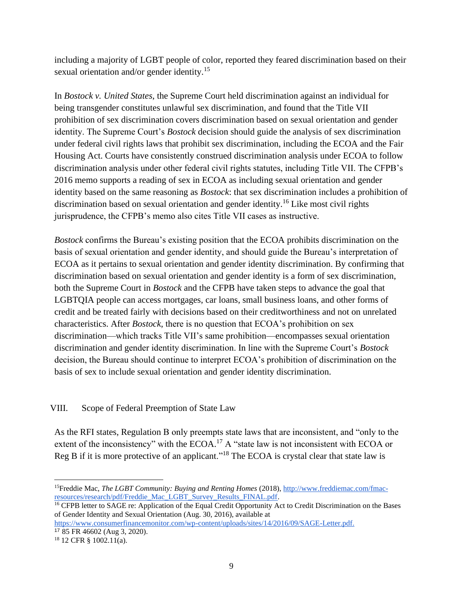including a majority of LGBT people of color, reported they feared discrimination based on their sexual orientation and/or gender identity.<sup>15</sup>

In *Bostock v. United States*, the Supreme Court held discrimination against an individual for being transgender constitutes unlawful sex discrimination, and found that the Title VII prohibition of sex discrimination covers discrimination based on sexual orientation and gender identity. The Supreme Court's *Bostock* decision should guide the analysis of sex discrimination under federal civil rights laws that prohibit sex discrimination, including the ECOA and the Fair Housing Act. Courts have consistently construed discrimination analysis under ECOA to follow discrimination analysis under other federal civil rights statutes, including Title VII. The CFPB's 2016 memo supports a reading of sex in ECOA as including sexual orientation and gender identity based on the same reasoning as *Bostock*: that sex discrimination includes a prohibition of discrimination based on sexual orientation and gender identity.<sup>16</sup> Like most civil rights jurisprudence, the CFPB's memo also cites Title VII cases as instructive.

*Bostock* confirms the Bureau's existing position that the ECOA prohibits discrimination on the basis of sexual orientation and gender identity, and should guide the Bureau's interpretation of ECOA as it pertains to sexual orientation and gender identity discrimination. By confirming that discrimination based on sexual orientation and gender identity is a form of sex discrimination, both the Supreme Court in *Bostock* and the CFPB have taken steps to advance the goal that LGBTQIA people can access mortgages, car loans, small business loans, and other forms of credit and be treated fairly with decisions based on their creditworthiness and not on unrelated characteristics. After *Bostock*, there is no question that ECOA's prohibition on sex discrimination—which tracks Title VII's same prohibition—encompasses sexual orientation discrimination and gender identity discrimination. In line with the Supreme Court's *Bostock* decision, the Bureau should continue to interpret ECOA's prohibition of discrimination on the basis of sex to include sexual orientation and gender identity discrimination.

# VIII. Scope of Federal Preemption of State Law

As the RFI states, Regulation B only preempts state laws that are inconsistent, and "only to the extent of the inconsistency" with the ECOA.<sup>17</sup> A "state law is not inconsistent with ECOA or Reg B if it is more protective of an applicant."<sup>18</sup> The ECOA is crystal clear that state law is

<sup>15</sup>Freddie Mac, *The LGBT Community: Buying and Renting Homes* (2018), [http://www.freddiemac.com/fmac](http://www.freddiemac.com/fmac-resources/research/pdf/Freddie_Mac_LGBT_Survey_Results_FINAL.pdf)[resources/research/pdf/Freddie\\_Mac\\_LGBT\\_Survey\\_Results\\_FINAL.pdf.](http://www.freddiemac.com/fmac-resources/research/pdf/Freddie_Mac_LGBT_Survey_Results_FINAL.pdf)

<sup>&</sup>lt;sup>16</sup> CFPB letter to SAGE re: Application of the Equal Credit Opportunity Act to Credit Discrimination on the Bases of Gender Identity and Sexual Orientation (Aug. 30, 2016), available at

[https://www.consumerfinancemonitor.com/wp-content/uploads/sites/14/2016/09/SAGE-Letter.pdf.](https://www.consumerfinancemonitor.com/wp-content/uploads/sites/14/2016/09/SAGE-Letter.pdf)

<sup>17</sup> 85 FR 46602 (Aug 3, 2020). <sup>18</sup> 12 CFR § 1002.11(a).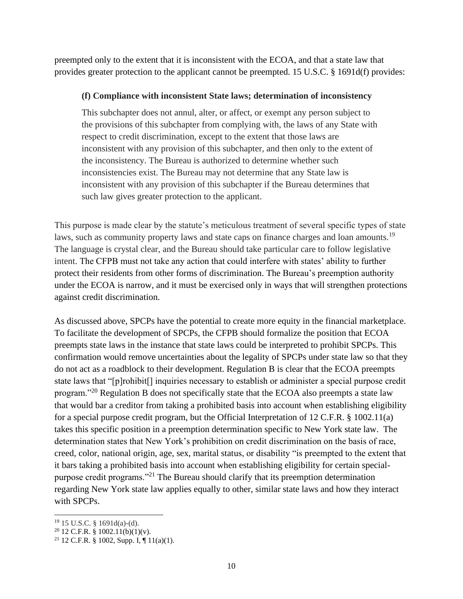preempted only to the extent that it is inconsistent with the ECOA, and that a state law that provides greater protection to the applicant cannot be preempted. 15 U.S.C. § 1691d(f) provides:

#### **(f) Compliance with inconsistent State laws; determination of inconsistency**

This subchapter does not annul, alter, or affect, or exempt any person subject to the provisions of this subchapter from complying with, the laws of any State with respect to credit discrimination, except to the extent that those laws are inconsistent with any provision of this subchapter, and then only to the extent of the inconsistency. The Bureau is authorized to determine whether such inconsistencies exist. The Bureau may not determine that any State law is inconsistent with any provision of this subchapter if the Bureau determines that such law gives greater protection to the applicant.

This purpose is made clear by the statute's meticulous treatment of several specific types of state laws, such as community property laws and state caps on finance charges and loan amounts.<sup>19</sup> The language is crystal clear, and the Bureau should take particular care to follow legislative intent. The CFPB must not take any action that could interfere with states' ability to further protect their residents from other forms of discrimination. The Bureau's preemption authority under the ECOA is narrow, and it must be exercised only in ways that will strengthen protections against credit discrimination.

As discussed above, SPCPs have the potential to create more equity in the financial marketplace. To facilitate the development of SPCPs, the CFPB should formalize the position that ECOA preempts state laws in the instance that state laws could be interpreted to prohibit SPCPs. This confirmation would remove uncertainties about the legality of SPCPs under state law so that they do not act as a roadblock to their development. Regulation B is clear that the ECOA preempts state laws that "[p]rohibit[] inquiries necessary to establish or administer a special purpose credit program."<sup>20</sup> Regulation B does not specifically state that the ECOA also preempts a state law that would bar a creditor from taking a prohibited basis into account when establishing eligibility for a special purpose credit program, but the Official Interpretation of 12 C.F.R. § 1002.11(a) takes this specific position in a preemption determination specific to New York state law. The determination states that New York's prohibition on credit discrimination on the basis of race, creed, color, national origin, age, sex, marital status, or disability "is preempted to the extent that it bars taking a prohibited basis into account when establishing eligibility for certain specialpurpose credit programs."<sup>21</sup> The Bureau should clarify that its preemption determination regarding New York state law applies equally to other, similar state laws and how they interact with SPCPs.

<sup>19</sup> 15 U.S.C. § 1691d(a)-(d).

 $20$  12 C.F.R. § 1002.11(b)(1)(v).

<sup>&</sup>lt;sup>21</sup> 12 C.F.R. § 1002, Supp. I, ¶ 11(a)(1).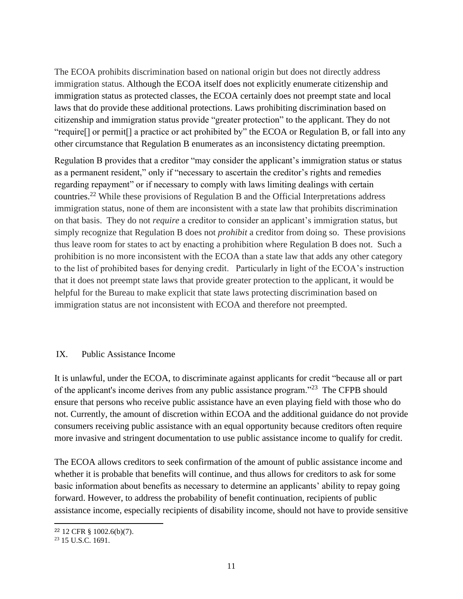The ECOA prohibits discrimination based on national origin but does not directly address immigration status. Although the ECOA itself does not explicitly enumerate citizenship and immigration status as protected classes, the ECOA certainly does not preempt state and local laws that do provide these additional protections. Laws prohibiting discrimination based on citizenship and immigration status provide "greater protection" to the applicant. They do not "require[] or permit[] a practice or act prohibited by" the ECOA or Regulation B, or fall into any other circumstance that Regulation B enumerates as an inconsistency dictating preemption.

Regulation B provides that a creditor "may consider the applicant's immigration status or status as a permanent resident," only if "necessary to ascertain the creditor's rights and remedies regarding repayment" or if necessary to comply with laws limiting dealings with certain countries.<sup>22</sup> While these provisions of Regulation B and the Official Interpretations address immigration status, none of them are inconsistent with a state law that prohibits discrimination on that basis. They do not *require* a creditor to consider an applicant's immigration status, but simply recognize that Regulation B does not *prohibit* a creditor from doing so. These provisions thus leave room for states to act by enacting a prohibition where Regulation B does not. Such a prohibition is no more inconsistent with the ECOA than a state law that adds any other category to the list of prohibited bases for denying credit. Particularly in light of the ECOA's instruction that it does not preempt state laws that provide greater protection to the applicant, it would be helpful for the Bureau to make explicit that state laws protecting discrimination based on immigration status are not inconsistent with ECOA and therefore not preempted.

#### IX. Public Assistance Income

It is unlawful, under the ECOA, to discriminate against applicants for credit "because all or part of the applicant's income derives from any public assistance program."<sup>23</sup> The CFPB should ensure that persons who receive public assistance have an even playing field with those who do not. Currently, the amount of discretion within ECOA and the additional guidance do not provide consumers receiving public assistance with an equal opportunity because creditors often require more invasive and stringent documentation to use public assistance income to qualify for credit.

The ECOA allows creditors to seek confirmation of the amount of public assistance income and whether it is probable that benefits will continue, and thus allows for creditors to ask for some basic information about benefits as necessary to determine an applicants' ability to repay going forward. However, to address the probability of benefit continuation, recipients of public assistance income, especially recipients of disability income, should not have to provide sensitive

<sup>22</sup> 12 CFR § 1002.6(b)(7).

<sup>23</sup> 15 U.S.C. 1691.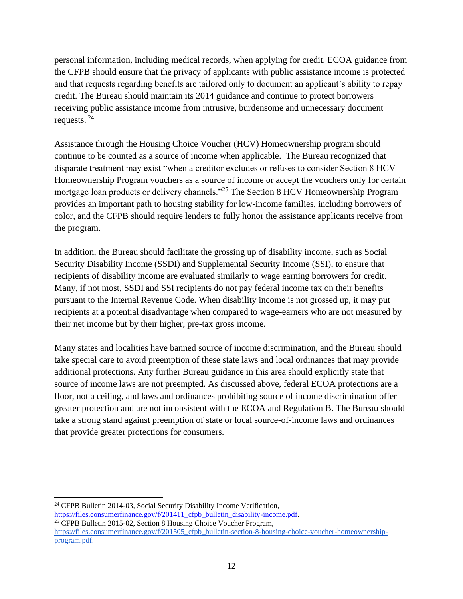personal information, including medical records, when applying for credit. ECOA guidance from the CFPB should ensure that the privacy of applicants with public assistance income is protected and that requests regarding benefits are tailored only to document an applicant's ability to repay credit. The Bureau should maintain its 2014 guidance and continue to protect borrowers receiving public assistance income from intrusive, burdensome and unnecessary document requests. <sup>24</sup>

Assistance through the Housing Choice Voucher (HCV) Homeownership program should continue to be counted as a source of income when applicable. The Bureau recognized that disparate treatment may exist "when a creditor excludes or refuses to consider Section 8 HCV Homeownership Program vouchers as a source of income or accept the vouchers only for certain mortgage loan products or delivery channels."<sup>25</sup> The Section 8 HCV Homeownership Program provides an important path to housing stability for low-income families, including borrowers of color, and the CFPB should require lenders to fully honor the assistance applicants receive from the program.

In addition, the Bureau should facilitate the grossing up of disability income, such as Social Security Disability Income (SSDI) and Supplemental Security Income (SSI), to ensure that recipients of disability income are evaluated similarly to wage earning borrowers for credit. Many, if not most, SSDI and SSI recipients do not pay federal income tax on their benefits pursuant to the Internal Revenue Code. When disability income is not grossed up, it may put recipients at a potential disadvantage when compared to wage-earners who are not measured by their net income but by their higher, pre-tax gross income.

Many states and localities have banned source of income discrimination, and the Bureau should take special care to avoid preemption of these state laws and local ordinances that may provide additional protections. Any further Bureau guidance in this area should explicitly state that source of income laws are not preempted. As discussed above, federal ECOA protections are a floor, not a ceiling, and laws and ordinances prohibiting source of income discrimination offer greater protection and are not inconsistent with the ECOA and Regulation B. The Bureau should take a strong stand against preemption of state or local source-of-income laws and ordinances that provide greater protections for consumers.

<sup>24</sup> CFPB Bulletin 2014-03, Social Security Disability Income Verification, https://files.consumerfinance.gov/f/201411\_cfpb\_bulletin\_disability-income.pdf. <sup>25</sup> CFPB Bulletin 2015-02, Section 8 Housing Choice Voucher Program,

[https://files.consumerfinance.gov/f/201505\\_cfpb\\_bulletin-section-8-housing-choice-voucher-homeownership](https://files.consumerfinance.gov/f/201505_cfpb_bulletin-section-8-housing-choice-voucher-homeownership-program.pdf)[program.pdf.](https://files.consumerfinance.gov/f/201505_cfpb_bulletin-section-8-housing-choice-voucher-homeownership-program.pdf)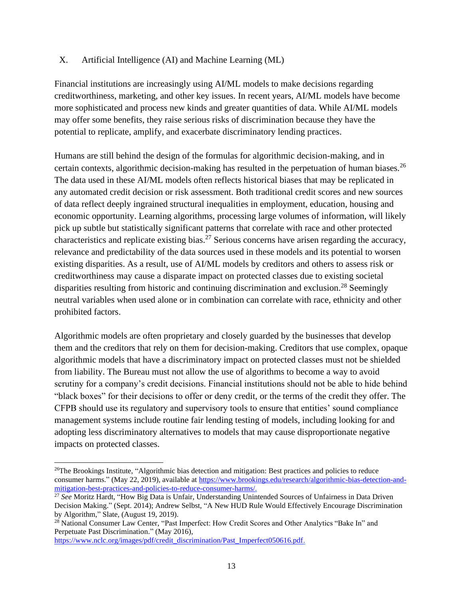#### X. Artificial Intelligence (AI) and Machine Learning (ML)

Financial institutions are increasingly using AI/ML models to make decisions regarding creditworthiness, marketing, and other key issues. In recent years, AI/ML models have become more sophisticated and process new kinds and greater quantities of data. While AI/ML models may offer some benefits, they raise serious risks of discrimination because they have the potential to replicate, amplify, and exacerbate discriminatory lending practices.

Humans are still behind the design of the formulas for algorithmic decision-making, and in certain contexts, algorithmic decision-making has resulted in the perpetuation of human biases.<sup>26</sup> The data used in these AI/ML models often reflects historical biases that may be replicated in any automated credit decision or risk assessment. Both traditional credit scores and new sources of data reflect deeply ingrained structural inequalities in employment, education, housing and economic opportunity. Learning algorithms, processing large volumes of information, will likely pick up subtle but statistically significant patterns that correlate with race and other protected characteristics and replicate existing bias.<sup>27</sup> Serious concerns have arisen regarding the accuracy, relevance and predictability of the data sources used in these models and its potential to worsen existing disparities. As a result, use of AI/ML models by creditors and others to assess risk or creditworthiness may cause a disparate impact on protected classes due to existing societal disparities resulting from historic and continuing discrimination and exclusion.<sup>28</sup> Seemingly neutral variables when used alone or in combination can correlate with race, ethnicity and other prohibited factors.

Algorithmic models are often proprietary and closely guarded by the businesses that develop them and the creditors that rely on them for decision-making. Creditors that use complex, opaque algorithmic models that have a discriminatory impact on protected classes must not be shielded from liability. The Bureau must not allow the use of algorithms to become a way to avoid scrutiny for a company's credit decisions. Financial institutions should not be able to hide behind "black boxes" for their decisions to offer or deny credit, or the terms of the credit they offer. The CFPB should use its regulatory and supervisory tools to ensure that entities' sound compliance management systems include routine fair lending testing of models, including looking for and adopting less discriminatory alternatives to models that may cause disproportionate negative impacts on protected classes.

<sup>28</sup> National Consumer Law Center, "Past Imperfect: How Credit Scores and Other Analytics "Bake In" and Perpetuate Past Discrimination." (May 2016),

[https://www.nclc.org/images/pdf/credit\\_discrimination/Past\\_Imperfect050616.pdf.](https://www.nclc.org/images/pdf/credit_discrimination/Past_Imperfect050616.pdf)

<sup>&</sup>lt;sup>26</sup>The Brookings Institute, "Algorithmic bias detection and mitigation: Best practices and policies to reduce consumer harms." (May 22, 2019), available at [https://www.brookings.edu/research/algorithmic-bias-detection-and](https://www.brookings.edu/research/algorithmic-bias-detection-and-mitigation-best-practices-and-policies-to-reduce-consumer-harms/)[mitigation-best-practices-and-policies-to-reduce-consumer-harms/.](https://www.brookings.edu/research/algorithmic-bias-detection-and-mitigation-best-practices-and-policies-to-reduce-consumer-harms/)

<sup>27</sup> *See* Moritz Hardt, "How Big Data is Unfair, Understanding Unintended Sources of Unfairness in Data Driven Decision Making." (Sept. 2014); Andrew Selbst, "A New HUD Rule Would Effectively Encourage Discrimination by Algorithm," Slate, (August 19, 2019).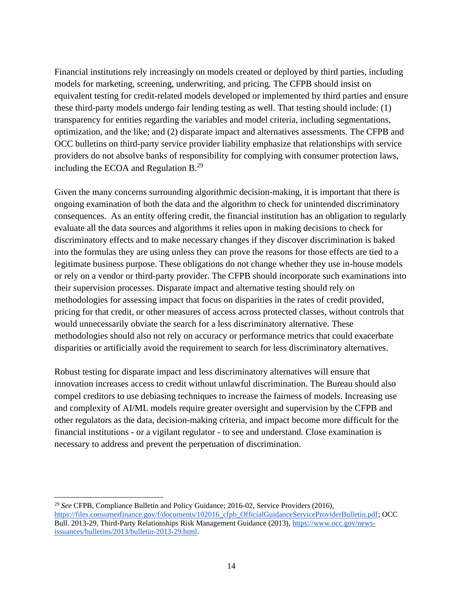Financial institutions rely increasingly on models created or deployed by third parties, including models for marketing, screening, underwriting, and pricing. The CFPB should insist on equivalent testing for credit-related models developed or implemented by third parties and ensure these third-party models undergo fair lending testing as well. That testing should include: (1) transparency for entities regarding the variables and model criteria, including segmentations, optimization, and the like; and (2) disparate impact and alternatives assessments. The CFPB and OCC bulletins on third-party service provider liability emphasize that relationships with service providers do not absolve banks of responsibility for complying with consumer protection laws, including the ECOA and Regulation  $B^{29}$ .

Given the many concerns surrounding algorithmic decision-making, it is important that there is ongoing examination of both the data and the algorithm to check for unintended discriminatory consequences. As an entity offering credit, the financial institution has an obligation to regularly evaluate all the data sources and algorithms it relies upon in making decisions to check for discriminatory effects and to make necessary changes if they discover discrimination is baked into the formulas they are using unless they can prove the reasons for those effects are tied to a legitimate business purpose. These obligations do not change whether they use in-house models or rely on a vendor or third-party provider. The CFPB should incorporate such examinations into their supervision processes. Disparate impact and alternative testing should rely on methodologies for assessing impact that focus on disparities in the rates of credit provided, pricing for that credit, or other measures of access across protected classes, without controls that would unnecessarily obviate the search for a less discriminatory alternative. These methodologies should also not rely on accuracy or performance metrics that could exacerbate disparities or artificially avoid the requirement to search for less discriminatory alternatives.

Robust testing for disparate impact and less discriminatory alternatives will ensure that innovation increases access to credit without unlawful discrimination. The Bureau should also compel creditors to use debiasing techniques to increase the fairness of models. Increasing use and complexity of AI/ML models require greater oversight and supervision by the CFPB and other regulators as the data, decision-making criteria, and impact become more difficult for the financial institutions - or a vigilant regulator - to see and understand. Close examination is necessary to address and prevent the perpetuation of discrimination.

<sup>29</sup> *See* CFPB, Compliance Bulletin and Policy Guidance; 2016-02, Service Providers (2016)[,](https://files.consumerfinance.gov/f/documents/102016_cfpb_OfficialGuidanceServiceProviderBulletin.pdf) [https://files.consumerfinance.gov/f/documents/102016\\_cfpb\\_OfficialGuidanceServiceProviderBulletin.pdf;](https://files.consumerfinance.gov/f/documents/102016_cfpb_OfficialGuidanceServiceProviderBulletin.pdf) OCC Bull. 2013-29, Third-Party Relationships Risk Management Guidance (2013)[,](https://www.occ.gov/news-issuances/bulletins/2013/bulletin-2013-29.html) [https://www.occ.gov/news](https://www.occ.gov/news-issuances/bulletins/2013/bulletin-2013-29.html)[issuances/bulletins/2013/bulletin-2013-29.html.](https://www.occ.gov/news-issuances/bulletins/2013/bulletin-2013-29.html)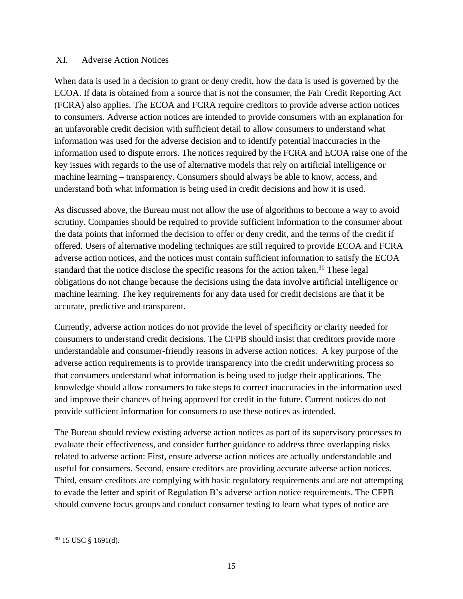#### XI. Adverse Action Notices

When data is used in a decision to grant or deny credit, how the data is used is governed by the ECOA. If data is obtained from a source that is not the consumer, the Fair Credit Reporting Act (FCRA) also applies. The ECOA and FCRA require creditors to provide adverse action notices to consumers. Adverse action notices are intended to provide consumers with an explanation for an unfavorable credit decision with sufficient detail to allow consumers to understand what information was used for the adverse decision and to identify potential inaccuracies in the information used to dispute errors. The notices required by the FCRA and ECOA raise one of the key issues with regards to the use of alternative models that rely on artificial intelligence or machine learning – transparency. Consumers should always be able to know, access, and understand both what information is being used in credit decisions and how it is used.

As discussed above, the Bureau must not allow the use of algorithms to become a way to avoid scrutiny. Companies should be required to provide sufficient information to the consumer about the data points that informed the decision to offer or deny credit, and the terms of the credit if offered. Users of alternative modeling techniques are still required to provide ECOA and FCRA adverse action notices, and the notices must contain sufficient information to satisfy the ECOA standard that the notice disclose the specific reasons for the action taken.<sup>30</sup> These legal obligations do not change because the decisions using the data involve artificial intelligence or machine learning. The key requirements for any data used for credit decisions are that it be accurate, predictive and transparent.

Currently, adverse action notices do not provide the level of specificity or clarity needed for consumers to understand credit decisions. The CFPB should insist that creditors provide more understandable and consumer-friendly reasons in adverse action notices. A key purpose of the adverse action requirements is to provide transparency into the credit underwriting process so that consumers understand what information is being used to judge their applications. The knowledge should allow consumers to take steps to correct inaccuracies in the information used and improve their chances of being approved for credit in the future. Current notices do not provide sufficient information for consumers to use these notices as intended.

The Bureau should review existing adverse action notices as part of its supervisory processes to evaluate their effectiveness, and consider further guidance to address three overlapping risks related to adverse action: First, ensure adverse action notices are actually understandable and useful for consumers. Second, ensure creditors are providing accurate adverse action notices. Third, ensure creditors are complying with basic regulatory requirements and are not attempting to evade the letter and spirit of Regulation B's adverse action notice requirements. The CFPB should convene focus groups and conduct consumer testing to learn what types of notice are

<sup>30</sup> 15 USC § 1691(d).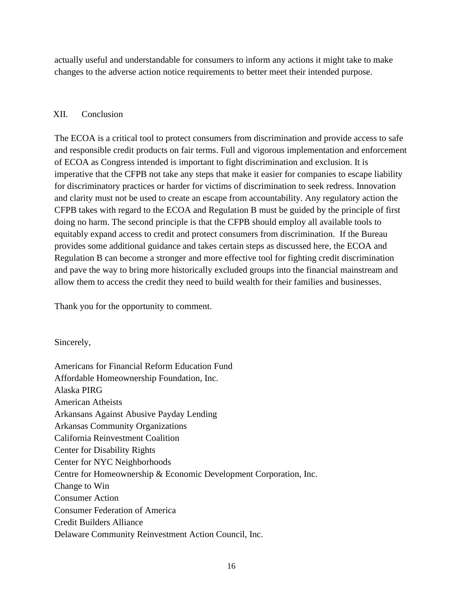actually useful and understandable for consumers to inform any actions it might take to make changes to the adverse action notice requirements to better meet their intended purpose.

# XII. Conclusion

The ECOA is a critical tool to protect consumers from discrimination and provide access to safe and responsible credit products on fair terms. Full and vigorous implementation and enforcement of ECOA as Congress intended is important to fight discrimination and exclusion. It is imperative that the CFPB not take any steps that make it easier for companies to escape liability for discriminatory practices or harder for victims of discrimination to seek redress. Innovation and clarity must not be used to create an escape from accountability. Any regulatory action the CFPB takes with regard to the ECOA and Regulation B must be guided by the principle of first doing no harm. The second principle is that the CFPB should employ all available tools to equitably expand access to credit and protect consumers from discrimination. If the Bureau provides some additional guidance and takes certain steps as discussed here, the ECOA and Regulation B can become a stronger and more effective tool for fighting credit discrimination and pave the way to bring more historically excluded groups into the financial mainstream and allow them to access the credit they need to build wealth for their families and businesses.

Thank you for the opportunity to comment.

Sincerely,

Americans for Financial Reform Education Fund Affordable Homeownership Foundation, Inc. Alaska PIRG American Atheists Arkansans Against Abusive Payday Lending Arkansas Community Organizations California Reinvestment Coalition Center for Disability Rights Center for NYC Neighborhoods Centre for Homeownership & Economic Development Corporation, Inc. Change to Win Consumer Action Consumer Federation of America Credit Builders Alliance Delaware Community Reinvestment Action Council, Inc.